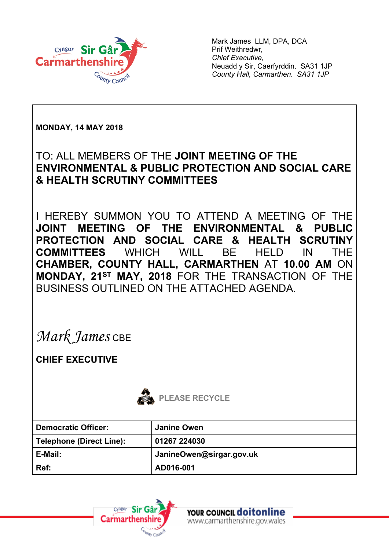

Mark James LLM, DPA, DCA Prif Weithredwr*, Chief Executive,* Neuadd y Sir, Caerfyrddin. SA31 1JP *County Hall, Carmarthen. SA31 1JP*

**MONDAY, 14 MAY 2018**

### TO: ALL MEMBERS OF THE **JOINT MEETING OF THE ENVIRONMENTAL & PUBLIC PROTECTION AND SOCIAL CARE & HEALTH SCRUTINY COMMITTEES**

I HEREBY SUMMON YOU TO ATTEND A MEETING OF THE **JOINT MEETING OF THE ENVIRONMENTAL & PUBLIC PROTECTION AND SOCIAL CARE & HEALTH SCRUTINY COMMITTEES** WHICH WILL BE HELD IN THE **CHAMBER, COUNTY HALL, CARMARTHEN** AT **10.00 AM** ON **MONDAY, 21ST MAY, 2018** FOR THE TRANSACTION OF THE BUSINESS OUTLINED ON THE ATTACHED AGENDA.

*Mark James* CBE

**CHIEF EXECUTIVE**



| <b>Democratic Officer:</b>      | Janine Owen              |
|---------------------------------|--------------------------|
| <b>Telephone (Direct Line):</b> | 01267 224030             |
| E-Mail:                         | JanineOwen@sirgar.gov.uk |
| Ref:                            | AD016-001                |



YOUR COUNCIL **doitonline** www.carmarthenshire.gov.wales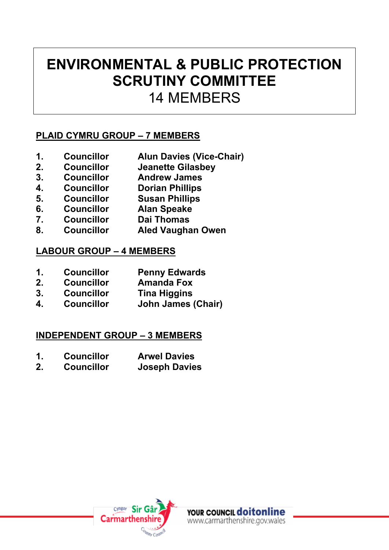### **ENVIRONMENTAL & PUBLIC PROTECTION SCRUTINY COMMITTEE** 14 MEMBERS

### **PLAID CYMRU GROUP – 7 MEMBERS**

- **1. Councillor Alun Davies (Vice-Chair)**
- **2. Councillor Jeanette Gilasbey**
- **3. Councillor Andrew James**
- **4. Councillor Dorian Phillips**
- **5. Councillor Susan Phillips**
- **6. Councillor Alan Speake**
- **7. Councillor Dai Thomas**
- **8. Councillor Aled Vaughan Owen**

### **LABOUR GROUP – 4 MEMBERS**

- **1. Councillor Penny Edwards**
- **2. Councillor Amanda Fox**
- **3. Councillor Tina Higgins**
- **4. Councillor John James (Chair)**

#### **INDEPENDENT GROUP – 3 MEMBERS**

- **1. Councillor Arwel Davies**
- **2. Councillor Joseph Davies**

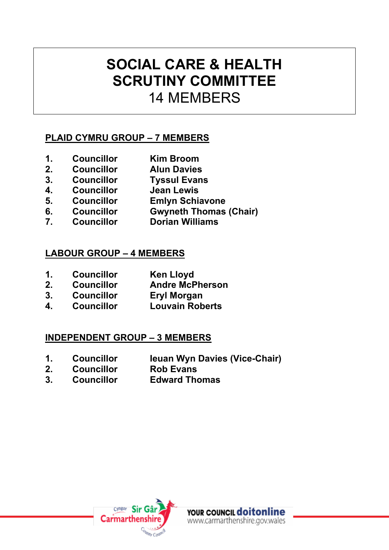## **SOCIAL CARE & HEALTH SCRUTINY COMMITTEE** 14 MEMBERS

### **PLAID CYMRU GROUP – 7 MEMBERS**

- **1. Councillor Kim Broom**
- **2. Councillor Alun Davies**
- **3. Councillor Tyssul Evans**
- **4. Councillor Jean Lewis**
- **5. Councillor Emlyn Schiavone**
- **6. Councillor Gwyneth Thomas (Chair)**
- **7. Councillor Dorian Williams**

#### **LABOUR GROUP – 4 MEMBERS**

- **1. Councillor Ken Lloyd**
- **2. Councillor Andre McPherson**
- **3. Councillor Eryl Morgan**
- **4. Councillor Louvain Roberts**

### **INDEPENDENT GROUP – 3 MEMBERS**

- **1. Councillor Ieuan Wyn Davies (Vice-Chair)**
- **2. Councillor**
- **3. Councillor Edward Thomas**